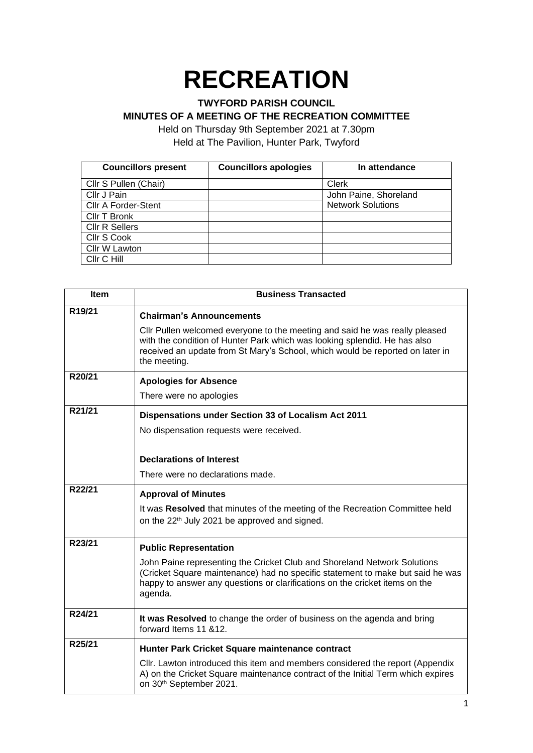# **RECREATION**

### **TWYFORD PARISH COUNCIL**

### **MINUTES OF A MEETING OF THE RECREATION COMMITTEE**

Held on Thursday 9th September 2021 at 7.30pm Held at The Pavilion, Hunter Park, Twyford

| <b>Councillors present</b> | <b>Councillors apologies</b> | In attendance            |
|----------------------------|------------------------------|--------------------------|
| Cllr S Pullen (Chair)      |                              | <b>Clerk</b>             |
| Cllr J Pain                |                              | John Paine, Shoreland    |
| <b>Cllr A Forder-Stent</b> |                              | <b>Network Solutions</b> |
| Cllr T Bronk               |                              |                          |
| <b>CIIr R Sellers</b>      |                              |                          |
| Cllr S Cook                |                              |                          |
| Cllr W Lawton              |                              |                          |
| Cllr C Hill                |                              |                          |

| <b>Item</b>         | <b>Business Transacted</b>                                                                                                                                                                                                                                |
|---------------------|-----------------------------------------------------------------------------------------------------------------------------------------------------------------------------------------------------------------------------------------------------------|
| R <sub>19</sub> /21 | <b>Chairman's Announcements</b>                                                                                                                                                                                                                           |
|                     | CIIr Pullen welcomed everyone to the meeting and said he was really pleased<br>with the condition of Hunter Park which was looking splendid. He has also<br>received an update from St Mary's School, which would be reported on later in<br>the meeting. |
| R20/21              | <b>Apologies for Absence</b>                                                                                                                                                                                                                              |
|                     | There were no apologies                                                                                                                                                                                                                                   |
| R21/21              | Dispensations under Section 33 of Localism Act 2011                                                                                                                                                                                                       |
|                     | No dispensation requests were received.                                                                                                                                                                                                                   |
|                     |                                                                                                                                                                                                                                                           |
|                     | <b>Declarations of Interest</b>                                                                                                                                                                                                                           |
|                     | There were no declarations made.                                                                                                                                                                                                                          |
| R22/21              | <b>Approval of Minutes</b>                                                                                                                                                                                                                                |
|                     | It was Resolved that minutes of the meeting of the Recreation Committee held<br>on the 22 <sup>th</sup> July 2021 be approved and signed.                                                                                                                 |
| R23/21              | <b>Public Representation</b>                                                                                                                                                                                                                              |
|                     | John Paine representing the Cricket Club and Shoreland Network Solutions<br>(Cricket Square maintenance) had no specific statement to make but said he was<br>happy to answer any questions or clarifications on the cricket items on the<br>agenda.      |
| R24/21              | It was Resolved to change the order of business on the agenda and bring<br>forward Items 11 &12.                                                                                                                                                          |
| R25/21              | Hunter Park Cricket Square maintenance contract                                                                                                                                                                                                           |
|                     | Cllr. Lawton introduced this item and members considered the report (Appendix<br>A) on the Cricket Square maintenance contract of the Initial Term which expires<br>on 30 <sup>th</sup> September 2021.                                                   |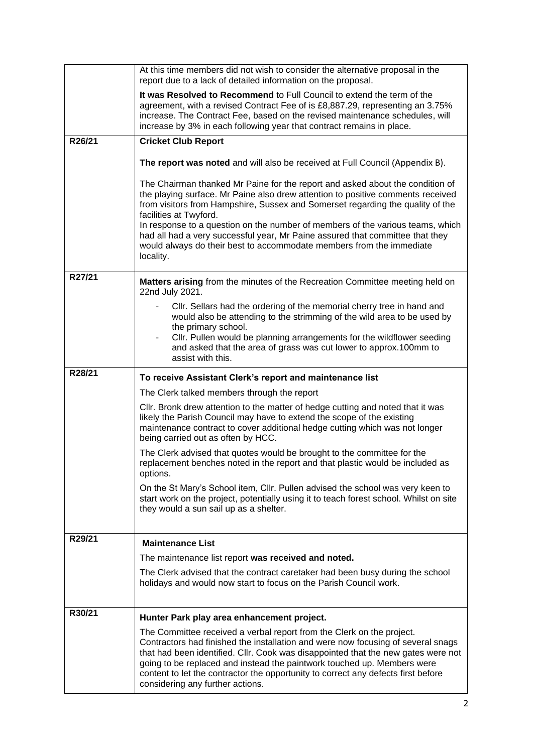|        | At this time members did not wish to consider the alternative proposal in the<br>report due to a lack of detailed information on the proposal.                                                                                                                                                                                                                                                                                                                                                                                       |
|--------|--------------------------------------------------------------------------------------------------------------------------------------------------------------------------------------------------------------------------------------------------------------------------------------------------------------------------------------------------------------------------------------------------------------------------------------------------------------------------------------------------------------------------------------|
|        | It was Resolved to Recommend to Full Council to extend the term of the<br>agreement, with a revised Contract Fee of is £8,887.29, representing an 3.75%<br>increase. The Contract Fee, based on the revised maintenance schedules, will<br>increase by 3% in each following year that contract remains in place.                                                                                                                                                                                                                     |
| R26/21 | <b>Cricket Club Report</b>                                                                                                                                                                                                                                                                                                                                                                                                                                                                                                           |
|        | The report was noted and will also be received at Full Council (Appendix B).                                                                                                                                                                                                                                                                                                                                                                                                                                                         |
|        | The Chairman thanked Mr Paine for the report and asked about the condition of<br>the playing surface. Mr Paine also drew attention to positive comments received<br>from visitors from Hampshire, Sussex and Somerset regarding the quality of the<br>facilities at Twyford.<br>In response to a question on the number of members of the various teams, which<br>had all had a very successful year, Mr Paine assured that committee that they<br>would always do their best to accommodate members from the immediate<br>locality. |
| R27/21 | Matters arising from the minutes of the Recreation Committee meeting held on<br>22nd July 2021.                                                                                                                                                                                                                                                                                                                                                                                                                                      |
|        | Cllr. Sellars had the ordering of the memorial cherry tree in hand and<br>would also be attending to the strimming of the wild area to be used by<br>the primary school.<br>Cllr. Pullen would be planning arrangements for the wildflower seeding<br>and asked that the area of grass was cut lower to approx.100mm to<br>assist with this.                                                                                                                                                                                         |
| R28/21 | To receive Assistant Clerk's report and maintenance list                                                                                                                                                                                                                                                                                                                                                                                                                                                                             |
|        | The Clerk talked members through the report                                                                                                                                                                                                                                                                                                                                                                                                                                                                                          |
|        | Cllr. Bronk drew attention to the matter of hedge cutting and noted that it was<br>likely the Parish Council may have to extend the scope of the existing<br>maintenance contract to cover additional hedge cutting which was not longer<br>being carried out as often by HCC.                                                                                                                                                                                                                                                       |
|        | The Clerk advised that quotes would be brought to the committee for the<br>replacement benches noted in the report and that plastic would be included as<br>options.                                                                                                                                                                                                                                                                                                                                                                 |
|        | On the St Mary's School item, Cllr. Pullen advised the school was very keen to<br>start work on the project, potentially using it to teach forest school. Whilst on site<br>they would a sun sail up as a shelter.                                                                                                                                                                                                                                                                                                                   |
| R29/21 | <b>Maintenance List</b>                                                                                                                                                                                                                                                                                                                                                                                                                                                                                                              |
|        | The maintenance list report was received and noted.                                                                                                                                                                                                                                                                                                                                                                                                                                                                                  |
|        | The Clerk advised that the contract caretaker had been busy during the school<br>holidays and would now start to focus on the Parish Council work.                                                                                                                                                                                                                                                                                                                                                                                   |
| R30/21 | Hunter Park play area enhancement project.                                                                                                                                                                                                                                                                                                                                                                                                                                                                                           |
|        | The Committee received a verbal report from the Clerk on the project.<br>Contractors had finished the installation and were now focusing of several snags<br>that had been identified. Cllr. Cook was disappointed that the new gates were not<br>going to be replaced and instead the paintwork touched up. Members were<br>content to let the contractor the opportunity to correct any defects first before<br>considering any further actions.                                                                                   |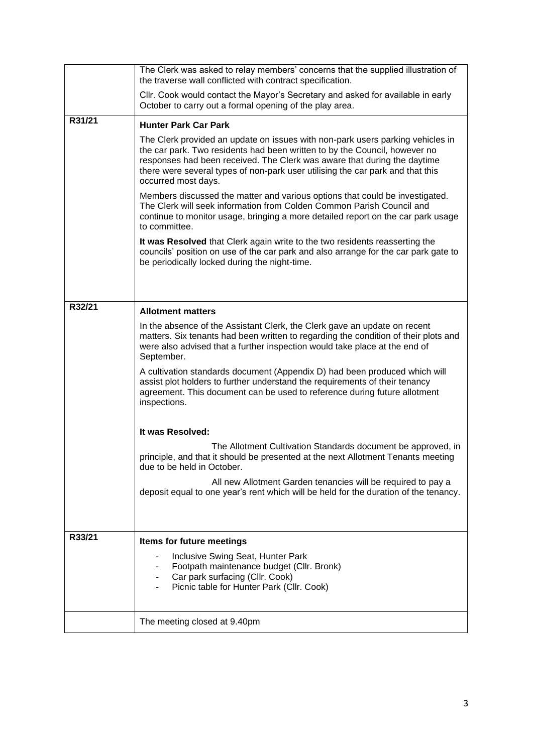|        | The Clerk was asked to relay members' concerns that the supplied illustration of<br>the traverse wall conflicted with contract specification.                                                                                                                                                                                                     |
|--------|---------------------------------------------------------------------------------------------------------------------------------------------------------------------------------------------------------------------------------------------------------------------------------------------------------------------------------------------------|
|        | CIIr. Cook would contact the Mayor's Secretary and asked for available in early<br>October to carry out a formal opening of the play area.                                                                                                                                                                                                        |
| R31/21 | <b>Hunter Park Car Park</b>                                                                                                                                                                                                                                                                                                                       |
|        | The Clerk provided an update on issues with non-park users parking vehicles in<br>the car park. Two residents had been written to by the Council, however no<br>responses had been received. The Clerk was aware that during the daytime<br>there were several types of non-park user utilising the car park and that this<br>occurred most days. |
|        | Members discussed the matter and various options that could be investigated.<br>The Clerk will seek information from Colden Common Parish Council and<br>continue to monitor usage, bringing a more detailed report on the car park usage<br>to committee.                                                                                        |
|        | It was Resolved that Clerk again write to the two residents reasserting the<br>councils' position on use of the car park and also arrange for the car park gate to<br>be periodically locked during the night-time.                                                                                                                               |
|        |                                                                                                                                                                                                                                                                                                                                                   |
| R32/21 | <b>Allotment matters</b>                                                                                                                                                                                                                                                                                                                          |
|        | In the absence of the Assistant Clerk, the Clerk gave an update on recent<br>matters. Six tenants had been written to regarding the condition of their plots and<br>were also advised that a further inspection would take place at the end of<br>September.                                                                                      |
|        | A cultivation standards document (Appendix D) had been produced which will<br>assist plot holders to further understand the requirements of their tenancy<br>agreement. This document can be used to reference during future allotment<br>inspections.                                                                                            |
|        | It was Resolved:                                                                                                                                                                                                                                                                                                                                  |
|        | The Allotment Cultivation Standards document be approved, in<br>principle, and that it should be presented at the next Allotment Tenants meeting<br>due to be held in October.                                                                                                                                                                    |
|        | All new Allotment Garden tenancies will be required to pay a<br>deposit equal to one year's rent which will be held for the duration of the tenancy.                                                                                                                                                                                              |
|        |                                                                                                                                                                                                                                                                                                                                                   |
| R33/21 | Items for future meetings                                                                                                                                                                                                                                                                                                                         |
|        | Inclusive Swing Seat, Hunter Park<br>Footpath maintenance budget (Cllr. Bronk)<br>Car park surfacing (Cllr. Cook)<br>Picnic table for Hunter Park (Cllr. Cook)                                                                                                                                                                                    |
|        | The meeting closed at 9.40pm                                                                                                                                                                                                                                                                                                                      |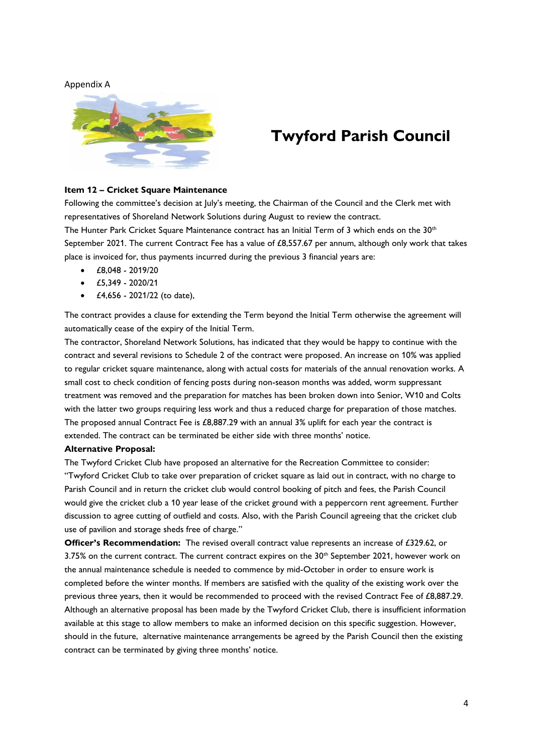#### Appendix A



# **Twyford Parish Council**

#### **Item 12 – Cricket Square Maintenance**

Following the committee's decision at July's meeting, the Chairman of the Council and the Clerk met with representatives of Shoreland Network Solutions during August to review the contract. The Hunter Park Cricket Square Maintenance contract has an Initial Term of 3 which ends on the 30<sup>th</sup> September 2021. The current Contract Fee has a value of  $£8,557.67$  per annum, although only work that takes place is invoiced for, thus payments incurred during the previous 3 financial years are:

- £8,048 2019/20
- £5,349 2020/21
- £4,656 2021/22 (to date),

The contract provides a clause for extending the Term beyond the Initial Term otherwise the agreement will automatically cease of the expiry of the Initial Term.

The contractor, Shoreland Network Solutions, has indicated that they would be happy to continue with the contract and several revisions to Schedule 2 of the contract were proposed. An increase on 10% was applied to regular cricket square maintenance, along with actual costs for materials of the annual renovation works. A small cost to check condition of fencing posts during non-season months was added, worm suppressant treatment was removed and the preparation for matches has been broken down into Senior, W10 and Colts with the latter two groups requiring less work and thus a reduced charge for preparation of those matches. The proposed annual Contract Fee is £8,887.29 with an annual 3% uplift for each year the contract is extended. The contract can be terminated be either side with three months' notice.

#### **Alternative Proposal:**

The Twyford Cricket Club have proposed an alternative for the Recreation Committee to consider: "Twyford Cricket Club to take over preparation of cricket square as laid out in contract, with no charge to Parish Council and in return the cricket club would control booking of pitch and fees, the Parish Council would give the cricket club a 10 year lease of the cricket ground with a peppercorn rent agreement. Further discussion to agree cutting of outfield and costs. Also, with the Parish Council agreeing that the cricket club use of pavilion and storage sheds free of charge."

**Officer's Recommendation:** The revised overall contract value represents an increase of £329.62, or 3.75% on the current contract. The current contract expires on the 30<sup>th</sup> September 2021, however work on the annual maintenance schedule is needed to commence by mid-October in order to ensure work is completed before the winter months. If members are satisfied with the quality of the existing work over the previous three years, then it would be recommended to proceed with the revised Contract Fee of £8,887.29. Although an alternative proposal has been made by the Twyford Cricket Club, there is insufficient information available at this stage to allow members to make an informed decision on this specific suggestion. However, should in the future, alternative maintenance arrangements be agreed by the Parish Council then the existing contract can be terminated by giving three months' notice.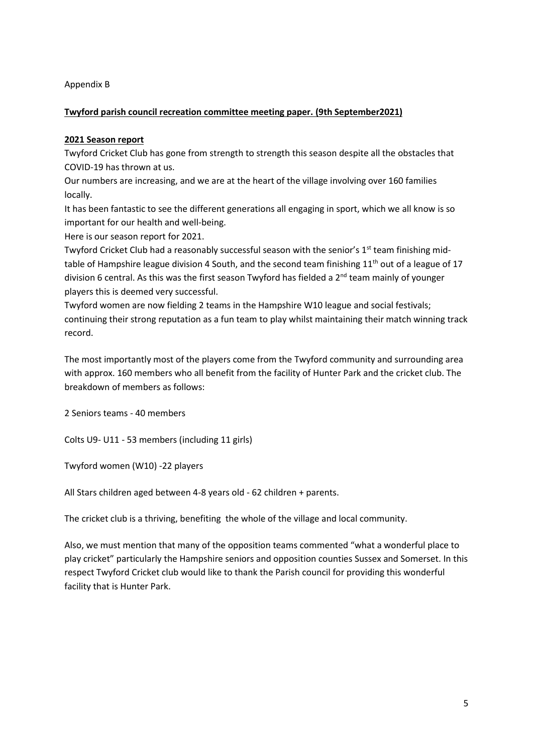#### Appendix B

#### **Twyford parish council recreation committee meeting paper. (9th September2021)**

#### **2021 Season report**

Twyford Cricket Club has gone from strength to strength this season despite all the obstacles that COVID-19 has thrown at us.

Our numbers are increasing, and we are at the heart of the village involving over 160 families locally.

It has been fantastic to see the different generations all engaging in sport, which we all know is so important for our health and well-being.

Here is our season report for 2021.

Twyford Cricket Club had a reasonably successful season with the senior's  $1<sup>st</sup>$  team finishing midtable of Hampshire league division 4 South, and the second team finishing  $11<sup>th</sup>$  out of a league of 17 division 6 central. As this was the first season Twyford has fielded a 2<sup>nd</sup> team mainly of younger players this is deemed very successful.

Twyford women are now fielding 2 teams in the Hampshire W10 league and social festivals; continuing their strong reputation as a fun team to play whilst maintaining their match winning track record.

The most importantly most of the players come from the Twyford community and surrounding area with approx. 160 members who all benefit from the facility of Hunter Park and the cricket club. The breakdown of members as follows:

2 Seniors teams - 40 members

Colts U9- U11 - 53 members (including 11 girls)

Twyford women (W10) -22 players

All Stars children aged between 4-8 years old - 62 children + parents.

The cricket club is a thriving, benefiting the whole of the village and local community.

Also, we must mention that many of the opposition teams commented "what a wonderful place to play cricket" particularly the Hampshire seniors and opposition counties Sussex and Somerset. In this respect Twyford Cricket club would like to thank the Parish council for providing this wonderful facility that is Hunter Park.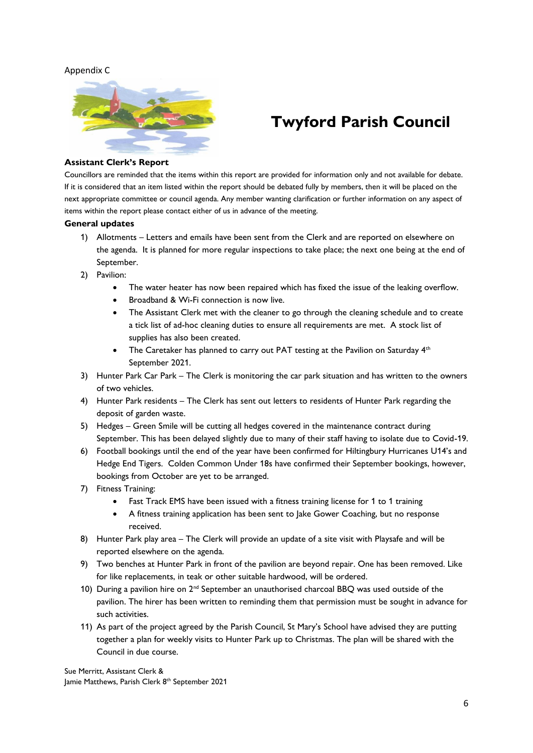#### Appendix C



# **Twyford Parish Council**

#### **Assistant Clerk's Report**

Councillors are reminded that the items within this report are provided for information only and not available for debate. If it is considered that an item listed within the report should be debated fully by members, then it will be placed on the next appropriate committee or council agenda. Any member wanting clarification or further information on any aspect of items within the report please contact either of us in advance of the meeting.

#### **General updates**

- 1) Allotments Letters and emails have been sent from the Clerk and are reported on elsewhere on the agenda. It is planned for more regular inspections to take place; the next one being at the end of September.
- 2) Pavilion:
	- The water heater has now been repaired which has fixed the issue of the leaking overflow.
	- Broadband & Wi-Fi connection is now live.
	- The Assistant Clerk met with the cleaner to go through the cleaning schedule and to create a tick list of ad-hoc cleaning duties to ensure all requirements are met. A stock list of supplies has also been created.
	- The Caretaker has planned to carry out PAT testing at the Pavilion on Saturday 4<sup>th</sup> September 2021.
- 3) Hunter Park Car Park The Clerk is monitoring the car park situation and has written to the owners of two vehicles.
- 4) Hunter Park residents The Clerk has sent out letters to residents of Hunter Park regarding the deposit of garden waste.
- 5) Hedges Green Smile will be cutting all hedges covered in the maintenance contract during September. This has been delayed slightly due to many of their staff having to isolate due to Covid-19.
- 6) Football bookings until the end of the year have been confirmed for Hiltingbury Hurricanes U14's and Hedge End Tigers. Colden Common Under 18s have confirmed their September bookings, however, bookings from October are yet to be arranged.
- 7) Fitness Training:
	- Fast Track EMS have been issued with a fitness training license for 1 to 1 training
	- A fitness training application has been sent to Jake Gower Coaching, but no response received.
- 8) Hunter Park play area The Clerk will provide an update of a site visit with Playsafe and will be reported elsewhere on the agenda.
- 9) Two benches at Hunter Park in front of the pavilion are beyond repair. One has been removed. Like for like replacements, in teak or other suitable hardwood, will be ordered.
- 10) During a pavilion hire on  $2^{nd}$  September an unauthorised charcoal BBQ was used outside of the pavilion. The hirer has been written to reminding them that permission must be sought in advance for such activities.
- 11) As part of the project agreed by the Parish Council, St Mary's School have advised they are putting together a plan for weekly visits to Hunter Park up to Christmas. The plan will be shared with the Council in due course.

Sue Merritt, Assistant Clerk & Jamie Matthews, Parish Clerk 8<sup>th</sup> September 2021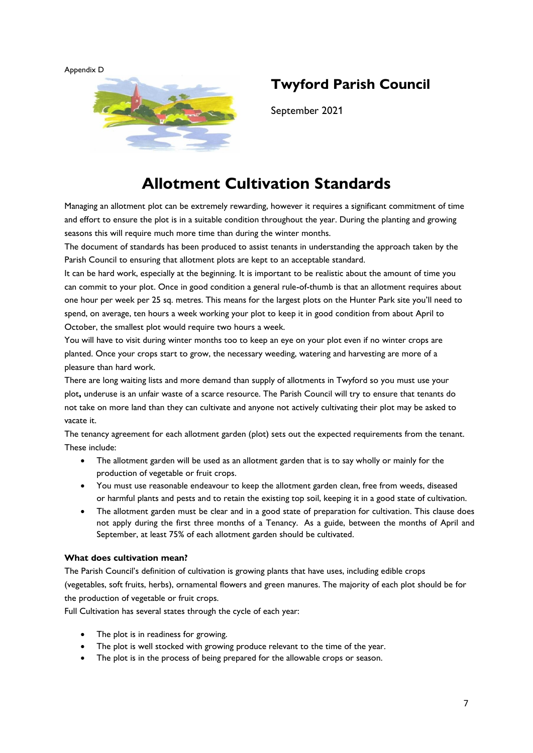Appendix D



### **Twyford Parish Council**

September 2021

## **Allotment Cultivation Standards**

Managing an allotment plot can be extremely rewarding, however it requires a significant commitment of time and effort to ensure the plot is in a suitable condition throughout the year. During the planting and growing seasons this will require much more time than during the winter months.

The document of standards has been produced to assist tenants in understanding the approach taken by the Parish Council to ensuring that allotment plots are kept to an acceptable standard.

It can be hard work, especially at the beginning. It is important to be realistic about the amount of time you can commit to your plot. Once in good condition a general rule-of-thumb is that an allotment requires about one hour per week per 25 sq. metres. This means for the largest plots on the Hunter Park site you'll need to spend, on average, ten hours a week working your plot to keep it in good condition from about April to October, the smallest plot would require two hours a week.

You will have to visit during winter months too to keep an eye on your plot even if no winter crops are planted. Once your crops start to grow, the necessary weeding, watering and harvesting are more of a pleasure than hard work.

There are long waiting lists and more demand than supply of allotments in Twyford so you must use your plot**,** underuse is an unfair waste of a scarce resource. The Parish Council will try to ensure that tenants do not take on more land than they can cultivate and anyone not actively cultivating their plot may be asked to vacate it.

The tenancy agreement for each allotment garden (plot) sets out the expected requirements from the tenant. These include:

- The allotment garden will be used as an allotment garden that is to say wholly or mainly for the production of vegetable or fruit crops.
- You must use reasonable endeavour to keep the allotment garden clean, free from weeds, diseased or harmful plants and pests and to retain the existing top soil, keeping it in a good state of cultivation.
- The allotment garden must be clear and in a good state of preparation for cultivation. This clause does not apply during the first three months of a Tenancy. As a guide, between the months of April and September, at least 75% of each allotment garden should be cultivated.

#### **What does cultivation mean?**

The Parish Council's definition of cultivation is growing plants that have uses, including edible crops (vegetables, soft fruits, herbs), ornamental flowers and green manures. The majority of each plot should be for the production of vegetable or fruit crops.

Full Cultivation has several states through the cycle of each year:

- The plot is in readiness for growing.
- The plot is well stocked with growing produce relevant to the time of the year.
- The plot is in the process of being prepared for the allowable crops or season.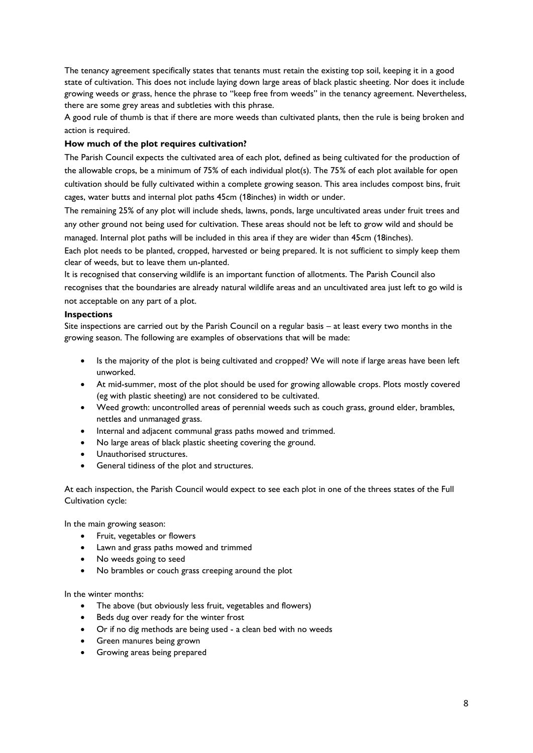The tenancy agreement specifically states that tenants must retain the existing top soil, keeping it in a good state of cultivation. This does not include laying down large areas of black plastic sheeting. Nor does it include growing weeds or grass, hence the phrase to "keep free from weeds" in the tenancy agreement. Nevertheless, there are some grey areas and subtleties with this phrase.

A good rule of thumb is that if there are more weeds than cultivated plants, then the rule is being broken and action is required.

#### **How much of the plot requires cultivation?**

The Parish Council expects the cultivated area of each plot, defined as being cultivated for the production of the allowable crops, be a minimum of 75% of each individual plot(s). The 75% of each plot available for open cultivation should be fully cultivated within a complete growing season. This area includes compost bins, fruit cages, water butts and internal plot paths 45cm (18inches) in width or under.

The remaining 25% of any plot will include sheds, lawns, ponds, large uncultivated areas under fruit trees and any other ground not being used for cultivation. These areas should not be left to grow wild and should be managed. Internal plot paths will be included in this area if they are wider than 45cm (18inches).

Each plot needs to be planted, cropped, harvested or being prepared. It is not sufficient to simply keep them clear of weeds, but to leave them un-planted.

It is recognised that conserving wildlife is an important function of allotments. The Parish Council also recognises that the boundaries are already natural wildlife areas and an uncultivated area just left to go wild is not acceptable on any part of a plot.

#### **Inspections**

Site inspections are carried out by the Parish Council on a regular basis – at least every two months in the growing season. The following are examples of observations that will be made:

- Is the majority of the plot is being cultivated and cropped? We will note if large areas have been left unworked.
- At mid-summer, most of the plot should be used for growing allowable crops. Plots mostly covered (eg with plastic sheeting) are not considered to be cultivated.
- Weed growth: uncontrolled areas of perennial weeds such as couch grass, ground elder, brambles, nettles and unmanaged grass.
- Internal and adjacent communal grass paths mowed and trimmed.
- No large areas of black plastic sheeting covering the ground.
- Unauthorised structures.
- General tidiness of the plot and structures.

At each inspection, the Parish Council would expect to see each plot in one of the threes states of the Full Cultivation cycle:

In the main growing season:

- Fruit, vegetables or flowers
- Lawn and grass paths mowed and trimmed
- No weeds going to seed
- No brambles or couch grass creeping around the plot

In the winter months:

- The above (but obviously less fruit, vegetables and flowers)
- Beds dug over ready for the winter frost
- Or if no dig methods are being used a clean bed with no weeds
- Green manures being grown
- Growing areas being prepared